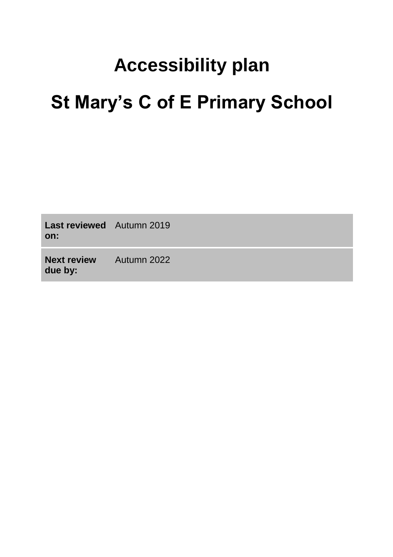# **Accessibility plan St Mary's C of E Primary School**

| <b>Last reviewed</b> Autumn 2019<br>on: |             |
|-----------------------------------------|-------------|
| <b>Next review</b><br>due by:           | Autumn 2022 |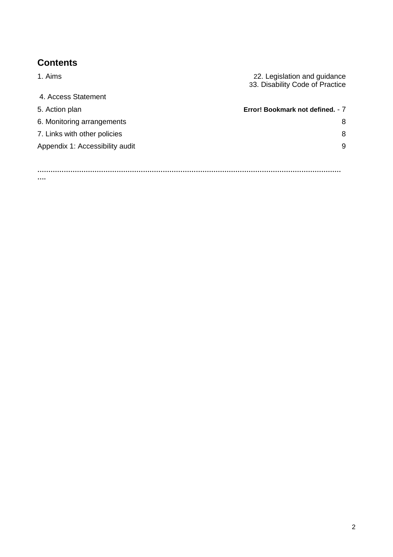## **Contents**

**….**

| 1. Aims                         | 22. Legislation and guidance<br>33. Disability Code of Practice |
|---------------------------------|-----------------------------------------------------------------|
| 4. Access Statement             |                                                                 |
| 5. Action plan                  | Error! Bookmark not defined. - 7                                |
| 6. Monitoring arrangements      | 8                                                               |
| 7. Links with other policies    | 8                                                               |
| Appendix 1: Accessibility audit | 9                                                               |
|                                 |                                                                 |
|                                 |                                                                 |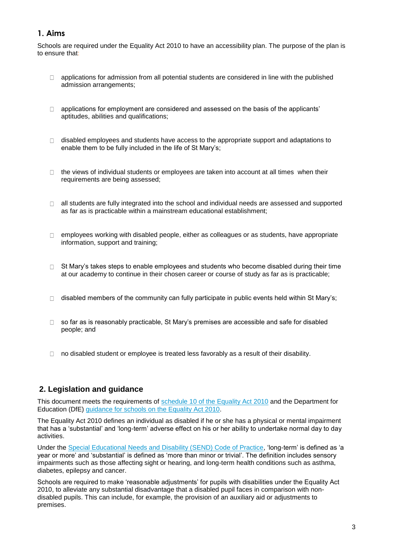## **1. Aims**

Schools are required under the Equality Act 2010 to have an accessibility plan. The purpose of the plan is to ensure that:

- $\Box$  applications for admission from all potential students are considered in line with the published admission arrangements;
- $\Box$  applications for employment are considered and assessed on the basis of the applicants' aptitudes, abilities and qualifications;
- $\Box$  disabled employees and students have access to the appropriate support and adaptations to enable them to be fully included in the life of St Mary's;
- $\Box$  the views of individual students or employees are taken into account at all times when their requirements are being assessed;
- $\Box$  all students are fully integrated into the school and individual needs are assessed and supported as far as is practicable within a mainstream educational establishment;
- $\Box$  employees working with disabled people, either as colleagues or as students, have appropriate information, support and training;
- St Mary's takes steps to enable employees and students who become disabled during their time  $\Box$ at our academy to continue in their chosen career or course of study as far as is practicable;
- $\Box$  disabled members of the community can fully participate in public events held within St Mary's;
- □ so far as is reasonably practicable, St Mary's premises are accessible and safe for disabled people; and
- $\Box$  no disabled student or employee is treated less favorably as a result of their disability.

### **2. Legislation and guidance**

This document meets the requirements of [schedule 10 of the Equality Act 2010](http://www.legislation.gov.uk/ukpga/2010/15/schedule/10) and the Department for Education (DfE) [guidance for schools on the Equality Act 2010.](https://www.gov.uk/government/publications/equality-act-2010-advice-for-schools)

The Equality Act 2010 defines an individual as disabled if he or she has a physical or mental impairment that has a 'substantial' and 'long-term' adverse effect on his or her ability to undertake normal day to day activities.

Under the [Special Educational Needs and Disability \(SEND\) Code of Practice,](https://www.gov.uk/government/publications/send-code-of-practice-0-to-25) 'long-term' is defined as 'a year or more' and 'substantial' is defined as 'more than minor or trivial'. The definition includes sensory impairments such as those affecting sight or hearing, and long-term health conditions such as asthma, diabetes, epilepsy and cancer.

Schools are required to make 'reasonable adjustments' for pupils with disabilities under the Equality Act 2010, to alleviate any substantial disadvantage that a disabled pupil faces in comparison with nondisabled pupils. This can include, for example, the provision of an auxiliary aid or adjustments to premises.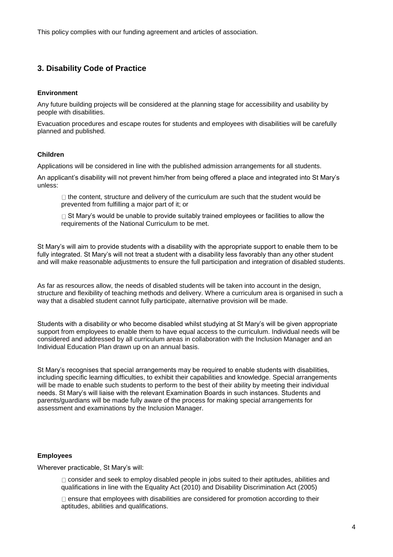This policy complies with our funding agreement and articles of association.

## **3. Disability Code of Practice**

#### **Environment**

Any future building projects will be considered at the planning stage for accessibility and usability by people with disabilities.

Evacuation procedures and escape routes for students and employees with disabilities will be carefully planned and published.

#### **Children**

Applications will be considered in line with the published admission arrangements for all students.

An applicant's disability will not prevent him/her from being offered a place and integrated into St Mary's unless:

 $\Box$  the content, structure and delivery of the curriculum are such that the student would be prevented from fulfilling a major part of it; or

 $\Box$  St Mary's would be unable to provide suitably trained employees or facilities to allow the requirements of the National Curriculum to be met.

St Mary's will aim to provide students with a disability with the appropriate support to enable them to be fully integrated. St Mary's will not treat a student with a disability less favorably than any other student and will make reasonable adjustments to ensure the full participation and integration of disabled students.

As far as resources allow, the needs of disabled students will be taken into account in the design, structure and flexibility of teaching methods and delivery. Where a curriculum area is organised in such a way that a disabled student cannot fully participate, alternative provision will be made.

Students with a disability or who become disabled whilst studying at St Mary's will be given appropriate support from employees to enable them to have equal access to the curriculum. Individual needs will be considered and addressed by all curriculum areas in collaboration with the Inclusion Manager and an Individual Education Plan drawn up on an annual basis.

St Mary's recognises that special arrangements may be required to enable students with disabilities, including specific learning difficulties, to exhibit their capabilities and knowledge. Special arrangements will be made to enable such students to perform to the best of their ability by meeting their individual needs. St Mary's will liaise with the relevant Examination Boards in such instances. Students and parents/guardians will be made fully aware of the process for making special arrangements for assessment and examinations by the Inclusion Manager.

#### **Employees**

Wherever practicable, St Mary's will:

 $\Box$  consider and seek to employ disabled people in jobs suited to their aptitudes, abilities and qualifications in line with the Equality Act (2010) and Disability Discrimination Act (2005)

 $\Box$  ensure that employees with disabilities are considered for promotion according to their aptitudes, abilities and qualifications.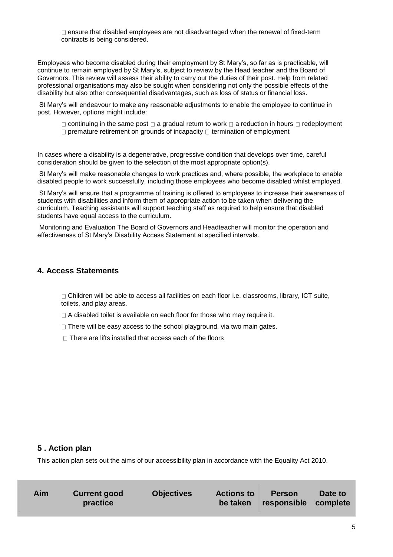$\Box$  ensure that disabled employees are not disadvantaged when the renewal of fixed-term contracts is being considered.

Employees who become disabled during their employment by St Mary's, so far as is practicable, will continue to remain employed by St Mary's, subject to review by the Head teacher and the Board of Governors. This review will assess their ability to carry out the duties of their post. Help from related professional organisations may also be sought when considering not only the possible effects of the disability but also other consequential disadvantages, such as loss of status or financial loss.

St Mary's will endeavour to make any reasonable adjustments to enable the employee to continue in post. However, options might include:

 $\Box$  continuing in the same post  $\Box$  a gradual return to work  $\Box$  a reduction in hours  $\Box$  redeployment  $\Box$  premature retirement on grounds of incapacity  $\Box$  termination of employment

In cases where a disability is a degenerative, progressive condition that develops over time, careful consideration should be given to the selection of the most appropriate option(s).

St Mary's will make reasonable changes to work practices and, where possible, the workplace to enable disabled people to work successfully, including those employees who become disabled whilst employed.

St Mary's will ensure that a programme of training is offered to employees to increase their awareness of students with disabilities and inform them of appropriate action to be taken when delivering the curriculum. Teaching assistants will support teaching staff as required to help ensure that disabled students have equal access to the curriculum.

Monitoring and Evaluation The Board of Governors and Headteacher will monitor the operation and effectiveness of St Mary's Disability Access Statement at specified intervals.

#### **4. Access Statements**

 $\Box$  Children will be able to access all facilities on each floor i.e. classrooms, library, ICT suite, toilets, and play areas.

- $\Box$  A disabled toilet is available on each floor for those who may require it.
- $\Box$  There will be easy access to the school playground, via two main gates.
- $\Box$  There are lifts installed that access each of the floors

#### **5 . Action plan**

This action plan sets out the aims of our accessibility plan in accordance with the Equality Act 2010.

| Aim<br><b>Current good</b><br><b>Objectives</b><br>practice | <b>Actions to</b> | <b>Person</b><br>be taken responsible complete | Date to |
|-------------------------------------------------------------|-------------------|------------------------------------------------|---------|
|-------------------------------------------------------------|-------------------|------------------------------------------------|---------|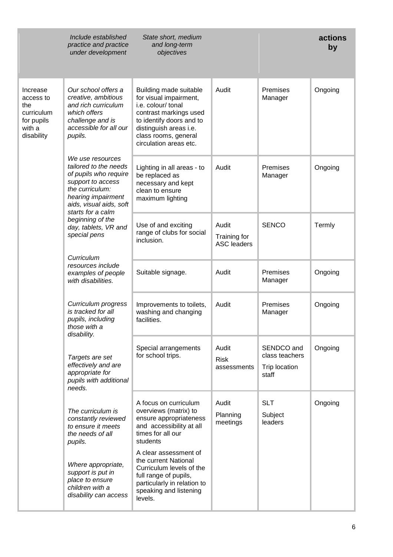|                                                                                  | Include established<br>practice and practice<br>under development                                                                                                                | State short, medium<br>and long-term<br>objectives                                                                                                                                                       |                                             |                                                        | actions<br>by |
|----------------------------------------------------------------------------------|----------------------------------------------------------------------------------------------------------------------------------------------------------------------------------|----------------------------------------------------------------------------------------------------------------------------------------------------------------------------------------------------------|---------------------------------------------|--------------------------------------------------------|---------------|
| Increase<br>access to<br>the<br>curriculum<br>for pupils<br>with a<br>disability | Our school offers a<br>creative, ambitious<br>and rich curriculum<br>which offers<br>challenge and is<br>accessible for all our<br>pupils.                                       | Building made suitable<br>for visual impairment,<br>i.e. colour/ tonal<br>contrast markings used<br>to identify doors and to<br>distinguish areas i.e.<br>class rooms, general<br>circulation areas etc. | Audit                                       | Premises<br>Manager                                    | Ongoing       |
|                                                                                  | We use resources<br>tailored to the needs<br>of pupils who require<br>support to access<br>the curriculum:<br>hearing impairment<br>aids, visual aids, soft<br>starts for a calm | Lighting in all areas - to<br>be replaced as<br>necessary and kept<br>clean to ensure<br>maximum lighting                                                                                                | Audit                                       | Premises<br>Manager                                    | Ongoing       |
|                                                                                  | beginning of the<br>day, tablets, VR and<br>special pens                                                                                                                         | Use of and exciting<br>range of clubs for social<br>inclusion.                                                                                                                                           | Audit<br>Training for<br><b>ASC leaders</b> | <b>SENCO</b>                                           | Termly        |
|                                                                                  | Curriculum<br>resources include<br>examples of people<br>with disabilities.                                                                                                      | Suitable signage.                                                                                                                                                                                        | Audit                                       | Premises<br>Manager                                    | Ongoing       |
|                                                                                  | Curriculum progress<br>is tracked for all<br>pupils, including<br>those with a<br>disability.                                                                                    | Improvements to toilets,<br>washing and changing<br>facilities.                                                                                                                                          | Audit                                       | Premises<br>Manager                                    | Ongoing       |
|                                                                                  | Targets are set<br>effectively and are<br>appropriate for<br>pupils with additional<br>needs.                                                                                    | Special arrangements<br>for school trips.                                                                                                                                                                | Audit<br><b>Risk</b><br>assessments         | SENDCO and<br>class teachers<br>Trip location<br>staff | Ongoing       |
|                                                                                  | The curriculum is<br>constantly reviewed<br>to ensure it meets<br>the needs of all<br>pupils.                                                                                    | A focus on curriculum<br>overviews (matrix) to<br>ensure appropriateness<br>and accessibility at all<br>times for all our<br>students                                                                    | Audit<br>Planning<br>meetings               | <b>SLT</b><br>Subject<br>leaders                       | Ongoing       |
|                                                                                  | Where appropriate,<br>support is put in<br>place to ensure<br>children with a<br>disability can access                                                                           | A clear assessment of<br>the current National<br>Curriculum levels of the<br>full range of pupils,<br>particularly in relation to<br>speaking and listening<br>levels.                                   |                                             |                                                        |               |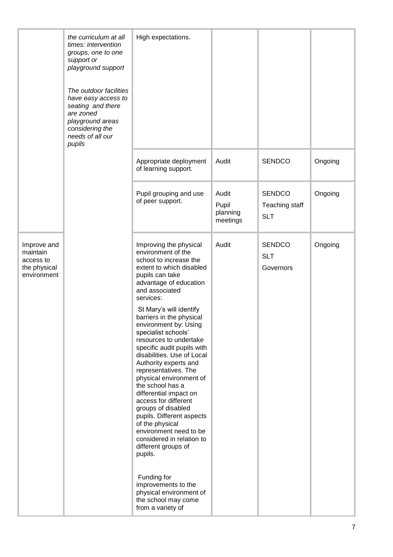|                                                                     | the curriculum at all<br>times: intervention<br>groups, one to one<br>support or<br>playground support                                               | High expectations.                                                                                                                                                                                                                                                                                                                                                                                                                                                                                         |                                        |                                               |         |
|---------------------------------------------------------------------|------------------------------------------------------------------------------------------------------------------------------------------------------|------------------------------------------------------------------------------------------------------------------------------------------------------------------------------------------------------------------------------------------------------------------------------------------------------------------------------------------------------------------------------------------------------------------------------------------------------------------------------------------------------------|----------------------------------------|-----------------------------------------------|---------|
|                                                                     | The outdoor facilities<br>have easy access to<br>seating and there<br>are zoned<br>playground areas<br>considering the<br>needs of all our<br>pupils |                                                                                                                                                                                                                                                                                                                                                                                                                                                                                                            |                                        |                                               |         |
|                                                                     |                                                                                                                                                      | Appropriate deployment<br>of learning support.                                                                                                                                                                                                                                                                                                                                                                                                                                                             | Audit                                  | <b>SENDCO</b>                                 | Ongoing |
|                                                                     |                                                                                                                                                      | Pupil grouping and use<br>of peer support.                                                                                                                                                                                                                                                                                                                                                                                                                                                                 | Audit<br>Pupil<br>planning<br>meetings | <b>SENDCO</b><br>Teaching staff<br><b>SLT</b> | Ongoing |
| Improve and<br>maintain<br>access to<br>the physical<br>environment |                                                                                                                                                      | Improving the physical<br>environment of the<br>school to increase the<br>extent to which disabled<br>pupils can take<br>advantage of education<br>and associated<br>services:                                                                                                                                                                                                                                                                                                                             | Audit                                  | <b>SENDCO</b><br><b>SLT</b><br>Governors      | Ongoing |
|                                                                     |                                                                                                                                                      | St Mary's will identify<br>barriers in the physical<br>environment by: Using<br>specialist schools'<br>resources to undertake<br>specific audit pupils with<br>disabilities. Use of Local<br>Authority experts and<br>representatives. The<br>physical environment of<br>the school has a<br>differential impact on<br>access for different<br>groups of disabled<br>pupils. Different aspects<br>of the physical<br>environment need to be<br>considered in relation to<br>different groups of<br>pupils. |                                        |                                               |         |
|                                                                     |                                                                                                                                                      | Funding for<br>improvements to the<br>physical environment of<br>the school may come<br>from a variety of                                                                                                                                                                                                                                                                                                                                                                                                  |                                        |                                               |         |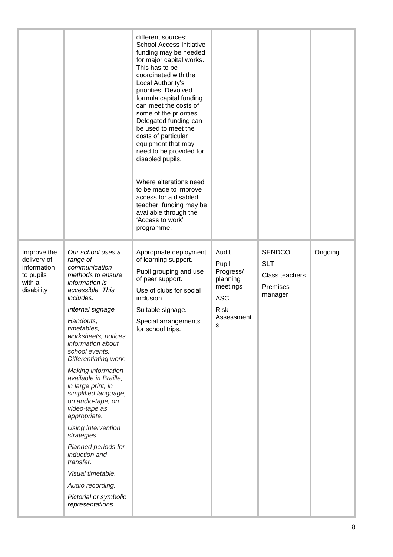|                                                                                |                                                                                                                                                                                                                                                                                                                                                                                                                                                                                                                                                                                                         | different sources:<br>School Access Initiative<br>funding may be needed<br>for major capital works.<br>This has to be<br>coordinated with the<br>Local Authority's<br>priorities. Devolved<br>formula capital funding<br>can meet the costs of<br>some of the priorities.<br>Delegated funding can<br>be used to meet the<br>costs of particular<br>equipment that may<br>need to be provided for<br>disabled pupils.<br>Where alterations need<br>to be made to improve<br>access for a disabled<br>teacher, funding may be<br>available through the<br>'Access to work'<br>programme. |                                                                                                     |                                                                      |         |
|--------------------------------------------------------------------------------|---------------------------------------------------------------------------------------------------------------------------------------------------------------------------------------------------------------------------------------------------------------------------------------------------------------------------------------------------------------------------------------------------------------------------------------------------------------------------------------------------------------------------------------------------------------------------------------------------------|-----------------------------------------------------------------------------------------------------------------------------------------------------------------------------------------------------------------------------------------------------------------------------------------------------------------------------------------------------------------------------------------------------------------------------------------------------------------------------------------------------------------------------------------------------------------------------------------|-----------------------------------------------------------------------------------------------------|----------------------------------------------------------------------|---------|
| Improve the<br>delivery of<br>information<br>to pupils<br>with a<br>disability | Our school uses a<br>range of<br>communication<br>methods to ensure<br>information is<br>accessible. This<br>includes:<br>Internal signage<br>Handouts,<br>timetables,<br>worksheets, notices,<br>information about<br>school events.<br>Differentiating work.<br><b>Making information</b><br>available in Braille,<br>in large print, in<br>simplified language,<br>on audio-tape, on<br>video-tape as<br>appropriate.<br>Using intervention<br>strategies.<br>Planned periods for<br>induction and<br>transfer.<br>Visual timetable.<br>Audio recording.<br>Pictorial or symbolic<br>representations | Appropriate deployment<br>of learning support.<br>Pupil grouping and use<br>of peer support.<br>Use of clubs for social<br>inclusion.<br>Suitable signage.<br>Special arrangements<br>for school trips.                                                                                                                                                                                                                                                                                                                                                                                 | Audit<br>Pupil<br>Progress/<br>planning<br>meetings<br><b>ASC</b><br><b>Risk</b><br>Assessment<br>s | <b>SENDCO</b><br><b>SLT</b><br>Class teachers<br>Premises<br>manager | Ongoing |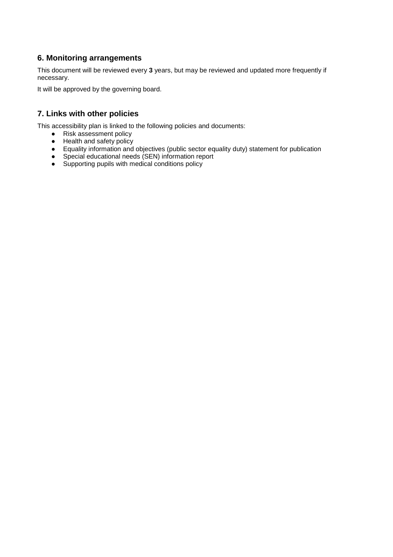## **6. Monitoring arrangements**

This document will be reviewed every **3** years, but may be reviewed and updated more frequently if necessary.

It will be approved by the governing board.

## **7. Links with other policies**

This accessibility plan is linked to the following policies and documents:

- Risk assessment policy
- Health and safety policy
- Equality information and objectives (public sector equality duty) statement for publication
- Special educational needs (SEN) information report
- Supporting pupils with medical conditions policy